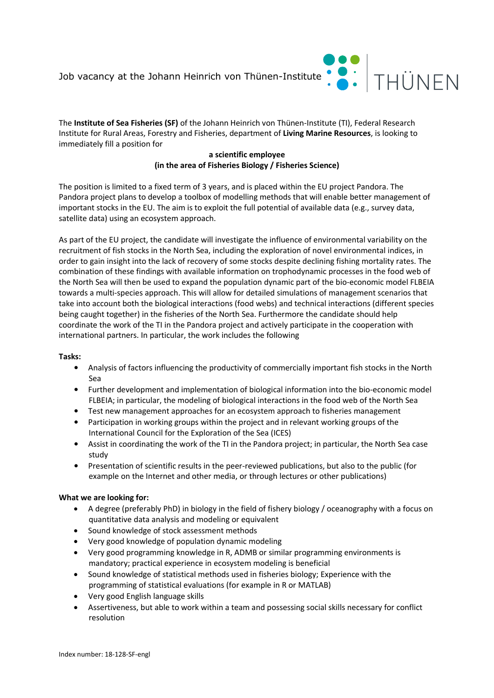

The **Institute of Sea Fisheries (SF)** of the Johann Heinrich von Thünen-Institute (TI), Federal Research Institute for Rural Areas, Forestry and Fisheries, department of **Living Marine Resources**, is looking to immediately fill a position for

## **a scientific employee (in the area of Fisheries Biology / Fisheries Science)**

The position is limited to a fixed term of 3 years, and is placed within the EU project Pandora. The Pandora project plans to develop a toolbox of modelling methods that will enable better management of important stocks in the EU. The aim is to exploit the full potential of available data (e.g., survey data, satellite data) using an ecosystem approach.

As part of the EU project, the candidate will investigate the influence of environmental variability on the recruitment of fish stocks in the North Sea, including the exploration of novel environmental indices, in order to gain insight into the lack of recovery of some stocks despite declining fishing mortality rates. The combination of these findings with available information on trophodynamic processes in the food web of the North Sea will then be used to expand the population dynamic part of the bio-economic model FLBEIA towards a multi-species approach. This will allow for detailed simulations of management scenarios that take into account both the biological interactions (food webs) and technical interactions (different species being caught together) in the fisheries of the North Sea. Furthermore the candidate should help coordinate the work of the TI in the Pandora project and actively participate in the cooperation with international partners. In particular, the work includes the following

## **Tasks:**

- Analysis of factors influencing the productivity of commercially important fish stocks in the North Sea
- Further development and implementation of biological information into the bio-economic model FLBEIA; in particular, the modeling of biological interactions in the food web of the North Sea
- Test new management approaches for an ecosystem approach to fisheries management
- Participation in working groups within the project and in relevant working groups of the International Council for the Exploration of the Sea (ICES)
- Assist in coordinating the work of the TI in the Pandora project; in particular, the North Sea case study
- Presentation of scientific results in the peer-reviewed publications, but also to the public (for example on the Internet and other media, or through lectures or other publications)

## **What we are looking for:**

- A degree (preferably PhD) in biology in the field of fishery biology / oceanography with a focus on quantitative data analysis and modeling or equivalent
- Sound knowledge of stock assessment methods
- Very good knowledge of population dynamic modeling
- Very good programming knowledge in R, ADMB or similar programming environments is mandatory; practical experience in ecosystem modeling is beneficial
- Sound knowledge of statistical methods used in fisheries biology; Experience with the programming of statistical evaluations (for example in R or MATLAB)
- Very good English language skills
- Assertiveness, but able to work within a team and possessing social skills necessary for conflict resolution